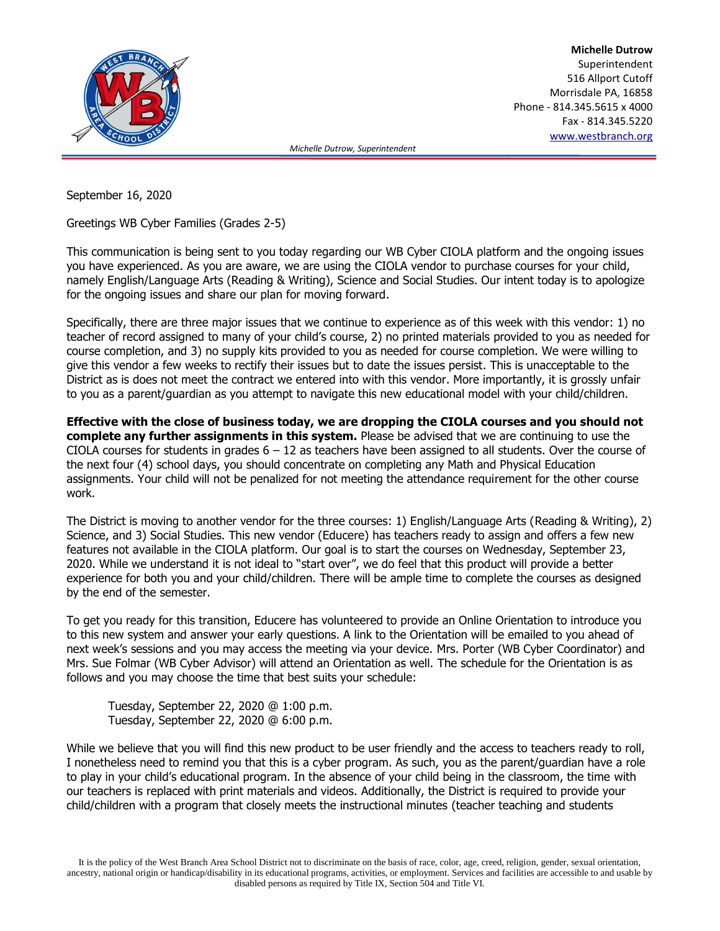

**Michelle Dutrow** Superintendent 516 Allport Cutoff Morrisdale PA, 16858 Phone - 814.345.5615 x 4000 Fax - 814.345.5220 [www.westbranch.org](http://www.westbranch.org/)

 *Michelle Dutrow, Superintendent*

September 16, 2020

Greetings WB Cyber Families (Grades 2-5)

This communication is being sent to you today regarding our WB Cyber CIOLA platform and the ongoing issues you have experienced. As you are aware, we are using the CIOLA vendor to purchase courses for your child, namely English/Language Arts (Reading & Writing), Science and Social Studies. Our intent today is to apologize for the ongoing issues and share our plan for moving forward.

Specifically, there are three major issues that we continue to experience as of this week with this vendor: 1) no teacher of record assigned to many of your child's course, 2) no printed materials provided to you as needed for course completion, and 3) no supply kits provided to you as needed for course completion. We were willing to give this vendor a few weeks to rectify their issues but to date the issues persist. This is unacceptable to the District as is does not meet the contract we entered into with this vendor. More importantly, it is grossly unfair to you as a parent/guardian as you attempt to navigate this new educational model with your child/children.

**Effective with the close of business today, we are dropping the CIOLA courses and you should not complete any further assignments in this system.** Please be advised that we are continuing to use the CIOLA courses for students in grades  $6 - 12$  as teachers have been assigned to all students. Over the course of the next four (4) school days, you should concentrate on completing any Math and Physical Education assignments. Your child will not be penalized for not meeting the attendance requirement for the other course work.

The District is moving to another vendor for the three courses: 1) English/Language Arts (Reading & Writing), 2) Science, and 3) Social Studies. This new vendor (Educere) has teachers ready to assign and offers a few new features not available in the CIOLA platform. Our goal is to start the courses on Wednesday, September 23, 2020. While we understand it is not ideal to "start over", we do feel that this product will provide a better experience for both you and your child/children. There will be ample time to complete the courses as designed by the end of the semester.

To get you ready for this transition, Educere has volunteered to provide an Online Orientation to introduce you to this new system and answer your early questions. A link to the Orientation will be emailed to you ahead of next week's sessions and you may access the meeting via your device. Mrs. Porter (WB Cyber Coordinator) and Mrs. Sue Folmar (WB Cyber Advisor) will attend an Orientation as well. The schedule for the Orientation is as follows and you may choose the time that best suits your schedule:

Tuesday, September 22, 2020 @ 1:00 p.m. Tuesday, September 22, 2020 @ 6:00 p.m.

While we believe that you will find this new product to be user friendly and the access to teachers ready to roll, I nonetheless need to remind you that this is a cyber program. As such, you as the parent/guardian have a role to play in your child's educational program. In the absence of your child being in the classroom, the time with our teachers is replaced with print materials and videos. Additionally, the District is required to provide your child/children with a program that closely meets the instructional minutes (teacher teaching and students